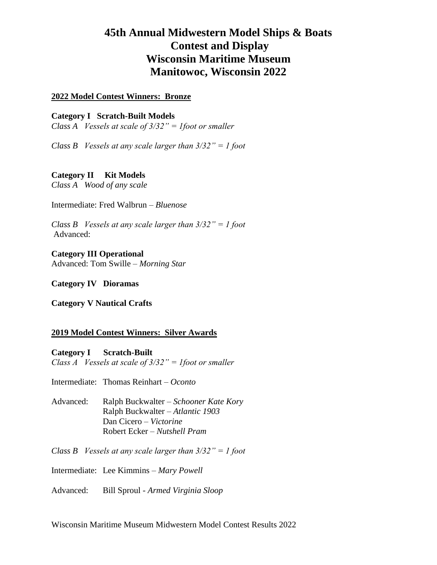# **45th Annual Midwestern Model Ships & Boats Contest and Display Wisconsin Maritime Museum Manitowoc, Wisconsin 2022**

# **2022 Model Contest Winners: Bronze**

# **Category I Scratch-Built Models**

*Class A Vessels at scale of 3/32" = 1foot or smaller*

*Class B Vessels at any scale larger than 3/32" = 1 foot*

# **Category II Kit Models**

*Class A Wood of any scale*

Intermediate: Fred Walbrun – *Bluenose*

*Class B Vessels at any scale larger than 3/32" = 1 foot* Advanced:

**Category III Operational** Advanced: Tom Swille – *Morning Star*

**Category IV Dioramas**

**Category V Nautical Crafts**

# **2019 Model Contest Winners: Silver Awards**

**Category I Scratch-Built** *Class A Vessels at scale of 3/32" = 1foot or smaller*

Intermediate: Thomas Reinhart – *Oconto* 

Advanced: Ralph Buckwalter – *Schooner Kate Kory* Ralph Buckwalter – *Atlantic 1903* Dan Cicero – *Victorine* Robert Ecker – *Nutshell Pram*

*Class B Vessels at any scale larger than 3/32" = 1 foot*

Intermediate: Lee Kimmins – *Mary Powell*

Advanced: Bill Sproul - *Armed Virginia Sloop*

Wisconsin Maritime Museum Midwestern Model Contest Results 2022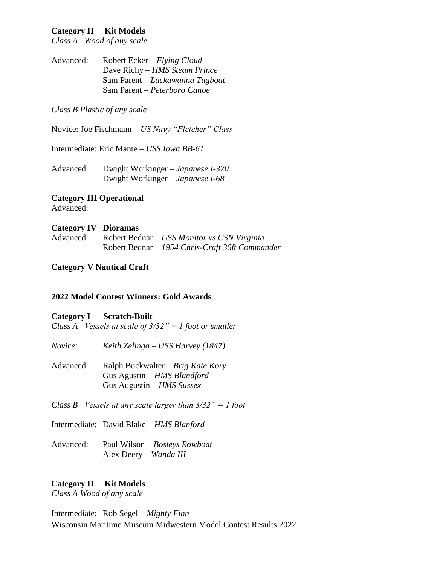# **Category II Kit Models**

*Class A Wood of any scale*

Advanced: Robert Ecker – *Flying Cloud* Dave Richy – *HMS Steam Prince* Sam Parent – *Lackawanna Tugboat* Sam Parent – *Peterboro Canoe*

#### *Class B Plastic of any scale*

Novice: Joe Fischmann – *US Navy "Fletcher" Class*

Intermediate: Eric Mante – *USS Iowa BB-61*

Advanced: Dwight Workinger – *Japanese I-370* Dwight Workinger – *Japanese I-68*

**Category III Operational** Advanced:

#### **Category IV Dioramas**

Advanced: Robert Bednar – *USS Monitor vs CSN Virginia* Robert Bednar – *1954 Chris-Craft 36ft Commander*

# **Category V Nautical Craft**

#### **2022 Model Contest Winners: Gold Awards**

#### **Category I Scratch-Built**

*Class A Vessels at scale of 3/32" = 1 foot or smaller*

*Novice: Keith Zelinga – USS Harvey (1847)*

- Advanced: Ralph Buckwalter *Brig Kate Kory* Gus Agustin – *HMS Blandford* Gus Augustin – *HMS Sussex*
- *Class B Vessels at any scale larger than 3/32" = 1 foot*

Intermediate: David Blake – *HMS Blanford*

Advanced: Paul Wilson – *Bosleys Rowboat* Alex Deery – *Wanda III*

# **Category II Kit Models**

*Class A Wood of any scale*

Wisconsin Maritime Museum Midwestern Model Contest Results 2022 Intermediate: Rob Segel – *Mighty Finn*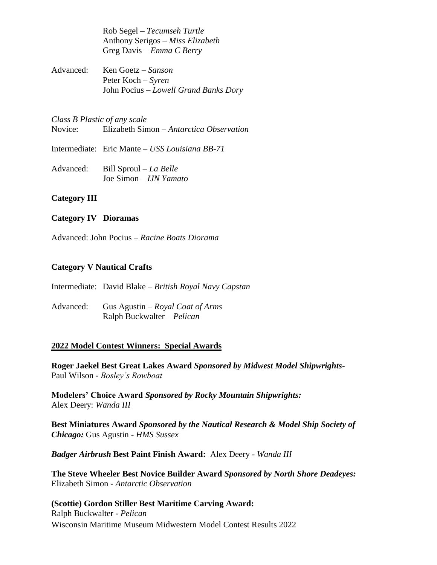Rob Segel – *Tecumseh Turtle* Anthony Serigos – *Miss Elizabeth* Greg Davis – *Emma C Berry*

Advanced: Ken Goetz – *Sanson* Peter Koch – *Syren* John Pocius – *Lowell Grand Banks Dory*

*Class B Plastic of any scale* Novice: Elizabeth Simon – *Antarctica Observation*

Intermediate: Eric Mante – *USS Louisiana BB-71*

Advanced: Bill Sproul – *La Belle* Joe Simon – *IJN Yamato*

# **Category III**

# **Category IV Dioramas**

Advanced: John Pocius – *Racine Boats Diorama*

# **Category V Nautical Crafts**

Intermediate: David Blake – *British Royal Navy Capstan*

Advanced: Gus Agustin – *Royal Coat of Arms* Ralph Buckwalter – *Pelican*

# **2022 Model Contest Winners: Special Awards**

**Roger Jaekel Best Great Lakes Award** *Sponsored by Midwest Model Shipwrights-*Paul Wilson - *Bosley's Rowboat*

**Modelers' Choice Award** *Sponsored by Rocky Mountain Shipwrights:* Alex Deery: *Wanda III*

**Best Miniatures Award** *Sponsored by the Nautical Research & Model Ship Society of Chicago:* Gus Agustin - *HMS Sussex*

*Badger Airbrush* **Best Paint Finish Award:** Alex Deery - *Wanda III*

**The Steve Wheeler Best Novice Builder Award** *Sponsored by North Shore Deadeyes:*  Elizabeth Simon - *Antarctic Observation*

# Wisconsin Maritime Museum Midwestern Model Contest Results 2022 **(Scottie) Gordon Stiller Best Maritime Carving Award:** Ralph Buckwalter - *Pelican*